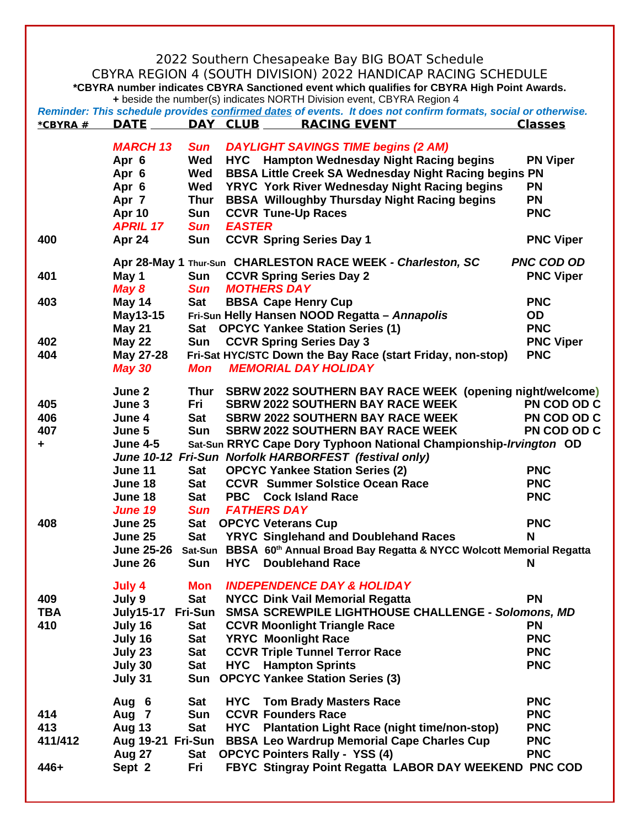|                                                                                                                                                                                                                                                                                       |                                |                    |               | 2022 Southern Chesapeake Bay BIG BOAT Schedule                                                                             |                         |  |  |  |  |  |
|---------------------------------------------------------------------------------------------------------------------------------------------------------------------------------------------------------------------------------------------------------------------------------------|--------------------------------|--------------------|---------------|----------------------------------------------------------------------------------------------------------------------------|-------------------------|--|--|--|--|--|
| CBYRA REGION 4 (SOUTH DIVISION) 2022 HANDICAP RACING SCHEDULE                                                                                                                                                                                                                         |                                |                    |               |                                                                                                                            |                         |  |  |  |  |  |
| *CBYRA number indicates CBYRA Sanctioned event which qualifies for CBYRA High Point Awards.<br>+ beside the number(s) indicates NORTH Division event, CBYRA Region 4<br>Reminder: This schedule provides confirmed dates of events. It does not confirm formats, social or otherwise. |                                |                    |               |                                                                                                                            |                         |  |  |  |  |  |
| *CBYRA #                                                                                                                                                                                                                                                                              | <b>DATE</b>                    |                    | DAY CLUB      | <b>RACING EVENT</b>                                                                                                        | <b>Classes</b>          |  |  |  |  |  |
|                                                                                                                                                                                                                                                                                       |                                |                    |               |                                                                                                                            |                         |  |  |  |  |  |
|                                                                                                                                                                                                                                                                                       | <b>MARCH 13</b>                | <b>Sun</b>         |               | <b>DAYLIGHT SAVINGS TIME begins (2 AM)</b>                                                                                 |                         |  |  |  |  |  |
|                                                                                                                                                                                                                                                                                       | Apr 6                          | Wed                |               | <b>HYC</b> Hampton Wednesday Night Racing begins                                                                           | <b>PN Viper</b>         |  |  |  |  |  |
|                                                                                                                                                                                                                                                                                       | Apr 6                          | Wed                |               | BBSA Little Creek SA Wednesday Night Racing begins PN                                                                      |                         |  |  |  |  |  |
|                                                                                                                                                                                                                                                                                       | Apr 6                          | Wed                |               | YRYC York River Wednesday Night Racing begins                                                                              | <b>PN</b>               |  |  |  |  |  |
|                                                                                                                                                                                                                                                                                       | Apr 7<br><b>Apr 10</b>         | <b>Thur</b><br>Sun |               | BBSA Willoughby Thursday Night Racing begins<br><b>CCVR Tune-Up Races</b>                                                  | <b>PN</b><br><b>PNC</b> |  |  |  |  |  |
|                                                                                                                                                                                                                                                                                       | <b>APRIL 17</b>                | <b>Sun</b>         | <b>EASTER</b> |                                                                                                                            |                         |  |  |  |  |  |
| 400                                                                                                                                                                                                                                                                                   | Apr 24                         | Sun                |               | <b>CCVR Spring Series Day 1</b>                                                                                            | <b>PNC Viper</b>        |  |  |  |  |  |
|                                                                                                                                                                                                                                                                                       |                                |                    |               |                                                                                                                            |                         |  |  |  |  |  |
|                                                                                                                                                                                                                                                                                       |                                |                    |               | Apr 28-May 1 Thur-Sun CHARLESTON RACE WEEK - Charleston, SC                                                                | <b>PNC COD OD</b>       |  |  |  |  |  |
| 401                                                                                                                                                                                                                                                                                   | May 1                          | Sun                |               | <b>CCVR Spring Series Day 2</b>                                                                                            | <b>PNC Viper</b>        |  |  |  |  |  |
|                                                                                                                                                                                                                                                                                       | May 8                          | <b>Sun</b>         |               | <b>MOTHERS DAY</b>                                                                                                         |                         |  |  |  |  |  |
| 403                                                                                                                                                                                                                                                                                   | <b>May 14</b>                  | Sat                |               | <b>BBSA Cape Henry Cup</b>                                                                                                 | <b>PNC</b>              |  |  |  |  |  |
|                                                                                                                                                                                                                                                                                       | May13-15                       |                    |               | Fri-Sun Helly Hansen NOOD Regatta - Annapolis<br><b>OPCYC Yankee Station Series (1)</b>                                    | <b>OD</b><br><b>PNC</b> |  |  |  |  |  |
| 402                                                                                                                                                                                                                                                                                   | <b>May 21</b><br><b>May 22</b> | Sat<br>Sun         |               | <b>CCVR Spring Series Day 3</b>                                                                                            | <b>PNC Viper</b>        |  |  |  |  |  |
| 404                                                                                                                                                                                                                                                                                   | May 27-28                      |                    |               | Fri-Sat HYC/STC Down the Bay Race (start Friday, non-stop)                                                                 | <b>PNC</b>              |  |  |  |  |  |
|                                                                                                                                                                                                                                                                                       | <b>May 30</b>                  | Mon                |               | <b>MEMORIAL DAY HOLIDAY</b>                                                                                                |                         |  |  |  |  |  |
|                                                                                                                                                                                                                                                                                       |                                |                    |               |                                                                                                                            |                         |  |  |  |  |  |
|                                                                                                                                                                                                                                                                                       | June 2                         |                    |               | Thur SBRW 2022 SOUTHERN BAY RACE WEEK (opening night/welcome)                                                              |                         |  |  |  |  |  |
| 405                                                                                                                                                                                                                                                                                   | June 3                         | Fri                |               | <b>SBRW 2022 SOUTHERN BAY RACE WEEK</b>                                                                                    | PN COD OD C             |  |  |  |  |  |
| 406                                                                                                                                                                                                                                                                                   | June 4                         | <b>Sat</b>         |               | <b>SBRW 2022 SOUTHERN BAY RACE WEEK</b>                                                                                    | PN COD OD C             |  |  |  |  |  |
| 407                                                                                                                                                                                                                                                                                   | June 5                         | Sun                |               | <b>SBRW 2022 SOUTHERN BAY RACE WEEK</b>                                                                                    | PN COD OD C             |  |  |  |  |  |
| ٠.                                                                                                                                                                                                                                                                                    | <b>June 4-5</b>                |                    |               | Sat-Sun RRYC Cape Dory Typhoon National Championship-Irvington OD<br>June 10-12 Fri-Sun Norfolk HARBORFEST (festival only) |                         |  |  |  |  |  |
|                                                                                                                                                                                                                                                                                       | <b>June 11</b>                 | Sat                |               | <b>OPCYC Yankee Station Series (2)</b>                                                                                     | <b>PNC</b>              |  |  |  |  |  |
|                                                                                                                                                                                                                                                                                       | June 18                        | Sat                |               | <b>CCVR</b> Summer Solstice Ocean Race                                                                                     | <b>PNC</b>              |  |  |  |  |  |
|                                                                                                                                                                                                                                                                                       | June 18                        | Sat                |               | <b>PBC</b> Cock Island Race                                                                                                | <b>PNC</b>              |  |  |  |  |  |
|                                                                                                                                                                                                                                                                                       | <b>June 19</b>                 | Sun                |               | <b>FATHERS DAY</b>                                                                                                         |                         |  |  |  |  |  |
| 408                                                                                                                                                                                                                                                                                   | June 25                        | Sat                |               | <b>OPCYC Veterans Cup</b>                                                                                                  | <b>PNC</b>              |  |  |  |  |  |
|                                                                                                                                                                                                                                                                                       | June 25                        | Sat                |               | <b>YRYC Singlehand and Doublehand Races</b>                                                                                | N                       |  |  |  |  |  |
|                                                                                                                                                                                                                                                                                       | <b>June 25-26</b>              |                    |               | Sat-Sun BBSA 60th Annual Broad Bay Regatta & NYCC Wolcott Memorial Regatta                                                 |                         |  |  |  |  |  |
|                                                                                                                                                                                                                                                                                       | June 26                        | Sun                |               | <b>HYC</b> Doublehand Race                                                                                                 | N                       |  |  |  |  |  |
|                                                                                                                                                                                                                                                                                       | July 4                         | Mon                |               | <b>INDEPENDENCE DAY &amp; HOLIDAY</b>                                                                                      |                         |  |  |  |  |  |
| 409                                                                                                                                                                                                                                                                                   | July 9                         | Sat                |               | <b>NYCC Dink Vail Memorial Regatta</b>                                                                                     | <b>PN</b>               |  |  |  |  |  |
| <b>TBA</b>                                                                                                                                                                                                                                                                            | July15-17                      | <b>Fri-Sun</b>     |               | SMSA SCREWPILE LIGHTHOUSE CHALLENGE - Solomons, MD                                                                         |                         |  |  |  |  |  |
| 410                                                                                                                                                                                                                                                                                   | July 16                        | Sat                |               | <b>CCVR Moonlight Triangle Race</b>                                                                                        | <b>PN</b>               |  |  |  |  |  |
|                                                                                                                                                                                                                                                                                       | July 16                        | Sat                |               | <b>YRYC</b> Moonlight Race                                                                                                 | <b>PNC</b>              |  |  |  |  |  |
|                                                                                                                                                                                                                                                                                       | July 23                        | Sat                |               | <b>CCVR Triple Tunnel Terror Race</b>                                                                                      | <b>PNC</b>              |  |  |  |  |  |
|                                                                                                                                                                                                                                                                                       | July 30                        | Sat                |               | <b>HYC</b> Hampton Sprints                                                                                                 | <b>PNC</b>              |  |  |  |  |  |
|                                                                                                                                                                                                                                                                                       | July 31                        | Sun                |               | <b>OPCYC Yankee Station Series (3)</b>                                                                                     |                         |  |  |  |  |  |
|                                                                                                                                                                                                                                                                                       | Aug 6                          | Sat                |               | <b>HYC</b> Tom Brady Masters Race                                                                                          | <b>PNC</b>              |  |  |  |  |  |
| 414                                                                                                                                                                                                                                                                                   | Aug 7                          | Sun                |               | <b>CCVR Founders Race</b>                                                                                                  | <b>PNC</b>              |  |  |  |  |  |
| 413                                                                                                                                                                                                                                                                                   | <b>Aug 13</b>                  | <b>Sat</b>         |               | HYC Plantation Light Race (night time/non-stop)                                                                            | <b>PNC</b>              |  |  |  |  |  |
| 411/412                                                                                                                                                                                                                                                                               | Aug 19-21 Fri-Sun              |                    |               | <b>BBSA Leo Wardrup Memorial Cape Charles Cup</b>                                                                          | <b>PNC</b>              |  |  |  |  |  |
|                                                                                                                                                                                                                                                                                       | <b>Aug 27</b>                  | Sat                |               | <b>OPCYC Pointers Rally - YSS (4)</b>                                                                                      | <b>PNC</b>              |  |  |  |  |  |
| 446+                                                                                                                                                                                                                                                                                  | Sept 2                         | Fri                |               | FBYC Stingray Point Regatta LABOR DAY WEEKEND PNC COD                                                                      |                         |  |  |  |  |  |
|                                                                                                                                                                                                                                                                                       |                                |                    |               |                                                                                                                            |                         |  |  |  |  |  |